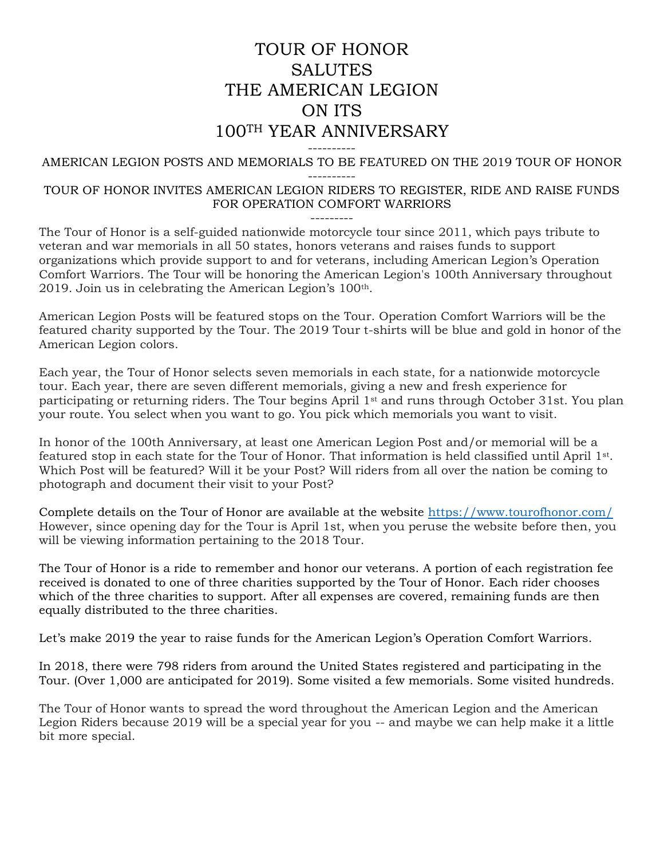## TOUR OF HONOR **SALUTES** THE AMERICAN LEGION ON ITS 100TH YEAR ANNIVERSARY

#### ---------- AMERICAN LEGION POSTS AND MEMORIALS TO BE FEATURED ON THE 2019 TOUR OF HONOR ----------

#### TOUR OF HONOR INVITES AMERICAN LEGION RIDERS TO REGISTER, RIDE AND RAISE FUNDS FOR OPERATION COMFORT WARRIORS

---------

The Tour of Honor is a self-guided nationwide motorcycle tour since 2011, which pays tribute to veteran and war memorials in all 50 states, honors veterans and raises funds to support organizations which provide support to and for veterans, including American Legion's Operation Comfort Warriors. The Tour will be honoring the American Legion's 100th Anniversary throughout 2019. Join us in celebrating the American Legion's 100th.

American Legion Posts will be featured stops on the Tour. Operation Comfort Warriors will be the featured charity supported by the Tour. The 2019 Tour t-shirts will be blue and gold in honor of the American Legion colors.

Each year, the Tour of Honor selects seven memorials in each state, for a nationwide motorcycle tour. Each year, there are seven different memorials, giving a new and fresh experience for participating or returning riders. The Tour begins April 1st and runs through October 31st. You plan your route. You select when you want to go. You pick which memorials you want to visit.

In honor of the 100th Anniversary, at least one American Legion Post and/or memorial will be a featured stop in each state for the Tour of Honor. That information is held classified until April 1st. Which Post will be featured? Will it be your Post? Will riders from all over the nation be coming to photograph and document their visit to your Post?

Complete details on the Tour of Honor are available at the website <https://www.tourofhonor.com/> However, since opening day for the Tour is April 1st, when you peruse the website before then, you will be viewing information pertaining to the 2018 Tour.

The Tour of Honor is a ride to remember and honor our veterans. A portion of each registration fee received is donated to one of three charities supported by the Tour of Honor. Each rider chooses which of the three charities to support. After all expenses are covered, remaining funds are then equally distributed to the three charities.

Let's make 2019 the year to raise funds for the American Legion's Operation Comfort Warriors.

In 2018, there were 798 riders from around the United States registered and participating in the Tour. (Over 1,000 are anticipated for 2019). Some visited a few memorials. Some visited hundreds.

The Tour of Honor wants to spread the word throughout the American Legion and the American Legion Riders because 2019 will be a special year for you -- and maybe we can help make it a little bit more special.